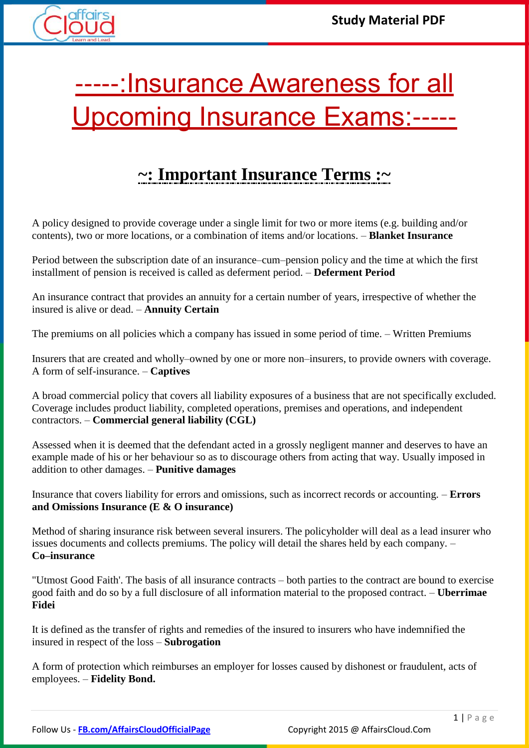

# -----: Insurance Awareness for all Upcoming Insurance Exams:-----

# **~: Important Insurance Terms :~**

A policy designed to provide coverage under a single limit for two or more items (e.g. building and/or contents), two or more locations, or a combination of items and/or locations. – **Blanket Insurance**

Period between the subscription date of an insurance–cum–pension policy and the time at which the first installment of pension is received is called as deferment period. – **Deferment Period**

An insurance contract that provides an annuity for a certain number of years, irrespective of whether the insured is alive or dead. – **Annuity Certain**

The premiums on all policies which a company has issued in some period of time. – Written Premiums

Insurers that are created and wholly–owned by one or more non–insurers, to provide owners with coverage. A form of self-insurance. – **Captives**

A broad commercial policy that covers all liability exposures of a business that are not specifically excluded. Coverage includes product liability, completed operations, premises and operations, and independent contractors. – **Commercial general liability (CGL)**

Assessed when it is deemed that the defendant acted in a grossly negligent manner and deserves to have an example made of his or her behaviour so as to discourage others from acting that way. Usually imposed in addition to other damages. – **Punitive damages**

Insurance that covers liability for errors and omissions, such as incorrect records or accounting. – **Errors and Omissions Insurance (E & O insurance)**

Method of sharing insurance risk between several insurers. The policyholder will deal as a lead insurer who issues documents and collects premiums. The policy will detail the shares held by each company. – **Co–insurance**

"Utmost Good Faith'. The basis of all insurance contracts – both parties to the contract are bound to exercise good faith and do so by a full disclosure of all information material to the proposed contract. – **Uberrimae Fidei**

It is defined as the transfer of rights and remedies of the insured to insurers who have indemnified the insured in respect of the loss – **Subrogation**

A form of protection which reimburses an employer for losses caused by dishonest or fraudulent, acts of employees. – **Fidelity Bond.**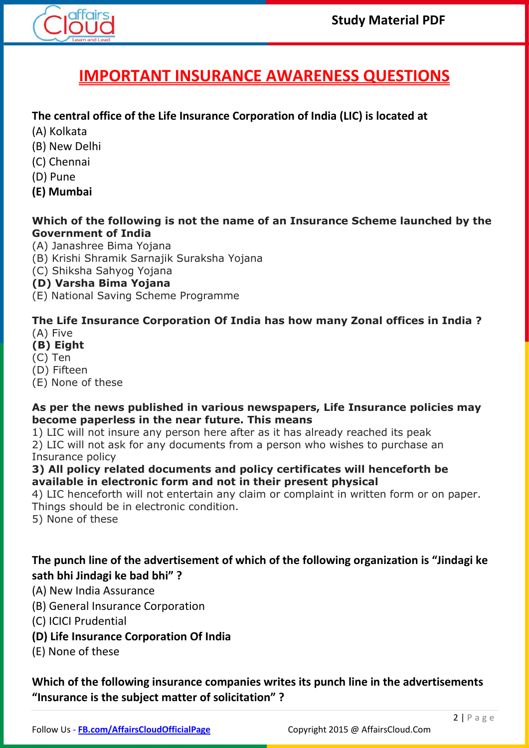

# **IMPORTANT INSURANCE AWARENESS QUESTIONS**

#### **The central office of the Life Insurance Corporation of India (LIC) is located at**

- (A) Kolkata
- (B) New Delhi
- (C) Chennai
- (D) Pune
- **(E) Mumbai**

#### **Which of the following is not the name of an Insurance Scheme launched by the Government of India**

(A) Janashree Bima Yojana

- (B) Krishi Shramik Sarnajik Suraksha Yojana
- (C) Shiksha Sahyog Yojana

#### **(D) Varsha Bima Yojana**

(E) National Saving Scheme Programme

#### **The Life Insurance Corporation Of India has how many Zonal offices in India ?** (A) Five

- **(B) Eight**
- (C) Ten
- (D) Fifteen
- (E) None of these

#### **As per the news published in various newspapers, Life Insurance policies may become paperless in the near future. This means**

1) LIC will not insure any person here after as it has already reached its peak

2) LIC will not ask for any documents from a person who wishes to purchase an Insurance policy

#### **3) All policy related documents and policy certificates will henceforth be available in electronic form and not in their present physical**

4) LIC henceforth will not entertain any claim or complaint in written form or on paper. Things should be in electronic condition.

5) None of these

#### **The punch line of the advertisement of which of the following organization is "Jindagi ke sath bhi Jindagi ke bad bhi" ?**

#### (A) New India Assurance

- (B) General Insurance Corporation
- (C) ICICI Prudential

#### **(D) Life Insurance Corporation Of India**

(E) None of these

#### **Which of the following insurance companies writes its punch line in the advertisements "Insurance is the subject matter of solicitation" ?**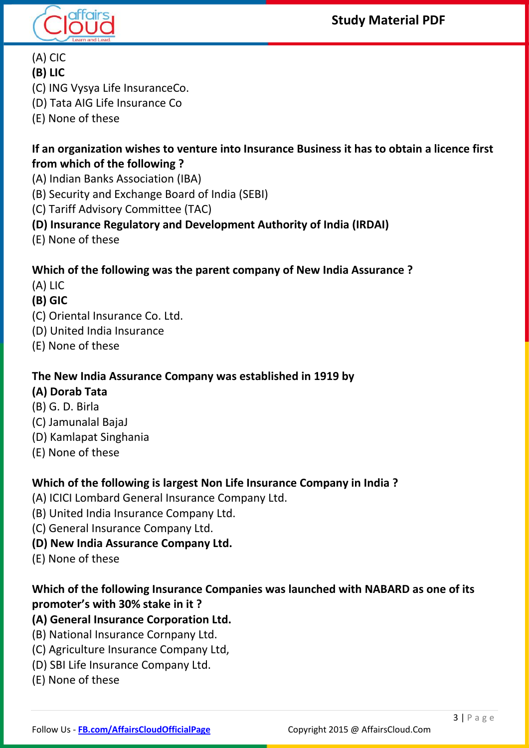



- (A) CIC
- **(B) LIC**
- (C) ING Vysya Life InsuranceCo.
- (D) Tata AIG Life Insurance Co
- (E) None of these

#### **If an organization wishes to venture into Insurance Business it has to obtain a licence first from which of the following ?**

- (A) Indian Banks Association (IBA)
- (B) Security and Exchange Board of India (SEBI)
- (C) Tariff Advisory Committee (TAC)
- **(D) Insurance Regulatory and Development Authority of India (IRDAI)**
- (E) None of these

# **Which of the following was the parent company of New India Assurance ?**

- (A) LIC
- **(B) GIC**
- (C) Oriental Insurance Co. Ltd.
- (D) United India Insurance
- (E) None of these

# **The New India Assurance Company was established in 1919 by**

# **(A) Dorab Tata**

- (B) G. D. Birla
- (C) Jamunalal BajaJ
- (D) Kamlapat Singhania
- (E) None of these

# **Which of the following is largest Non Life Insurance Company in India ?**

- (A) ICICI Lombard General Insurance Company Ltd.
- (B) United India Insurance Company Ltd.
- (C) General Insurance Company Ltd.
- **(D) New India Assurance Company Ltd.**
- (E) None of these

# **Which of the following Insurance Companies was launched with NABARD as one of its promoter's with 30% stake in it ?**

# **(A) General Insurance Corporation Ltd.**

- (B) National Insurance Cornpany Ltd.
- (C) Agriculture Insurance Company Ltd,
- (D) SBI Life Insurance Company Ltd.
- (E) None of these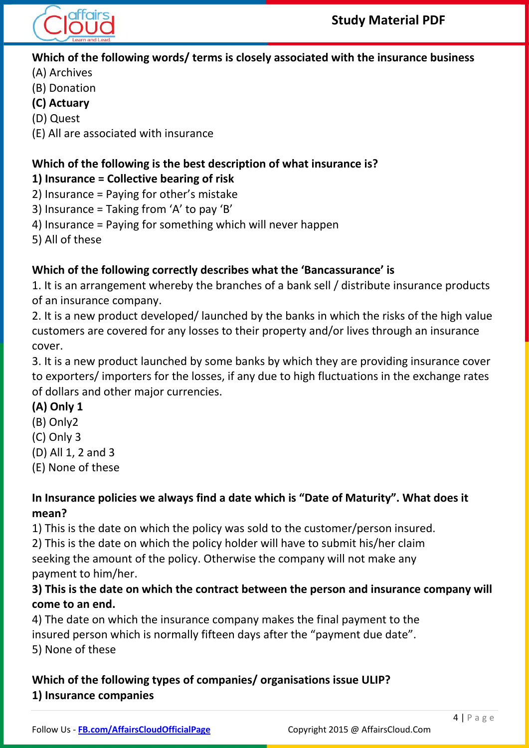

**Which of the following words/ terms is closely associated with the insurance business**

- (A) Archives
- (B) Donation
- **(C) Actuary**
- (D) Quest
- (E) All are associated with insurance

# **Which of the following is the best description of what insurance is?**

# **1) Insurance = Collective bearing of risk**

- 2) Insurance = Paying for other's mistake
- 3) Insurance = Taking from 'A' to pay 'B'
- 4) Insurance = Paying for something which will never happen
- 5) All of these

# **Which of the following correctly describes what the 'Bancassurance' is**

1. It is an arrangement whereby the branches of a bank sell / distribute insurance products of an insurance company.

2. It is a new product developed/ launched by the banks in which the risks of the high value customers are covered for any losses to their property and/or lives through an insurance cover.

3. It is a new product launched by some banks by which they are providing insurance cover to exporters/ importers for the losses, if any due to high fluctuations in the exchange rates of dollars and other major currencies.

# **(A) Only 1**

- (B) Only2
- (C) Only 3
- (D) All 1, 2 and 3
- (E) None of these

# **In Insurance policies we always find a date which is "Date of Maturity". What does it mean?**

1) This is the date on which the policy was sold to the customer/person insured.

2) This is the date on which the policy holder will have to submit his/her claim seeking the amount of the policy. Otherwise the company will not make any

payment to him/her.

## **3) This is the date on which the contract between the person and insurance company will come to an end.**

4) The date on which the insurance company makes the final payment to the insured person which is normally fifteen days after the "payment due date". 5) None of these

# **Which of the following types of companies/ organisations issue ULIP? 1) Insurance companies**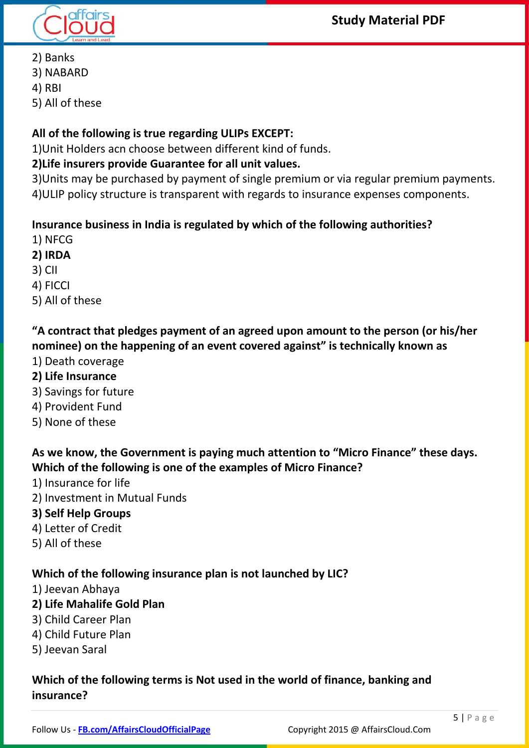

- 2) Banks
- 3) NABARD
- 4) RBI
- 5) All of these

## **All of the following is true regarding ULIPs EXCEPT:**

1)Unit Holders acn choose between different kind of funds.

#### **2)Life insurers provide Guarantee for all unit values.**

3)Units may be purchased by payment of single premium or via regular premium payments. 4)ULIP policy structure is transparent with regards to insurance expenses components.

#### **Insurance business in India is regulated by which of the following authorities?**

- 1) NFCG
- **2) IRDA**
- 3) CII
- 4) FICCI
- 5) All of these

# **"A contract that pledges payment of an agreed upon amount to the person (or his/her nominee) on the happening of an event covered against" is technically known as**

- 1) Death coverage
- **2) Life Insurance**
- 3) Savings for future
- 4) Provident Fund
- 5) None of these

## As we know, the Government is paying much attention to "Micro Finance" these days. **Which of the following is one of the examples of Micro Finance?**

- 1) Insurance for life
- 2) Investment in Mutual Funds
- **3) Self Help Groups**
- 4) Letter of Credit
- 5) All of these

#### **Which of the following insurance plan is not launched by LIC?**

1) Jeevan Abhaya

#### **2) Life Mahalife Gold Plan**

- 3) Child Career Plan
- 4) Child Future Plan
- 5) Jeevan Saral

## **Which of the following terms is Not used in the world of finance, banking and insurance?**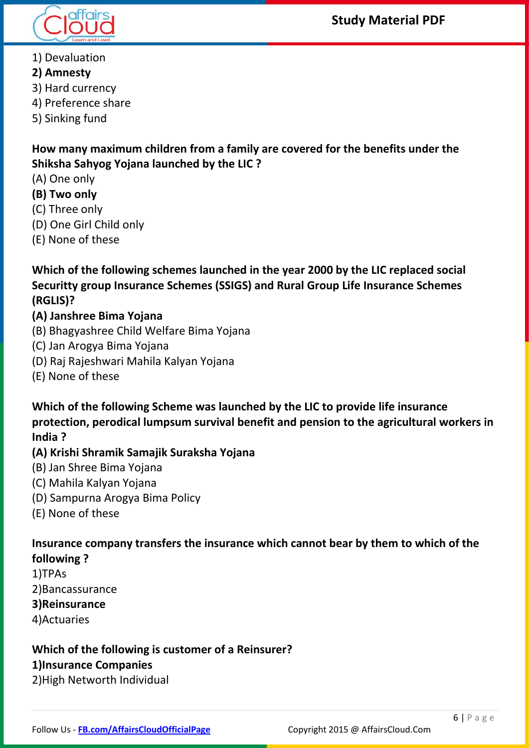



- 1) Devaluation
- **2) Amnesty**
- 3) Hard currency
- 4) Preference share
- 5) Sinking fund

**How many maximum children from a family are covered for the benefits under the Shiksha Sahyog Yojana launched by the LIC ?**

- (A) One only
- **(B) Two only**
- (C) Three only
- (D) One Girl Child only
- (E) None of these

**Which of the following schemes launched in the year 2000 by the LIC replaced social Securitty group Insurance Schemes (SSIGS) and Rural Group Life Insurance Schemes (RGLIS)?**

#### **(A) Janshree Bima Yojana**

- (B) Bhagyashree Child Welfare Bima Yojana
- (C) Jan Arogya Bima Yojana
- (D) Raj Rajeshwari Mahila Kalyan Yojana
- (E) None of these

**Which of the following Scheme was launched by the LIC to provide life insurance protection, perodical lumpsum survival benefit and pension to the agricultural workers in India ?**

#### **(A) Krishi Shramik Samajik Suraksha Yojana**

- (B) Jan Shree Bima Yojana
- (C) Mahila Kalyan Yojana
- (D) Sampurna Arogya Bima Policy
- (E) None of these

**Insurance company transfers the insurance which cannot bear by them to which of the following ?**

1)TPAs 2)Bancassurance

#### **3)Reinsurance**

4)Actuaries

# **Which of the following is customer of a Reinsurer?**

#### **1)Insurance Companies**

2)High Networth Individual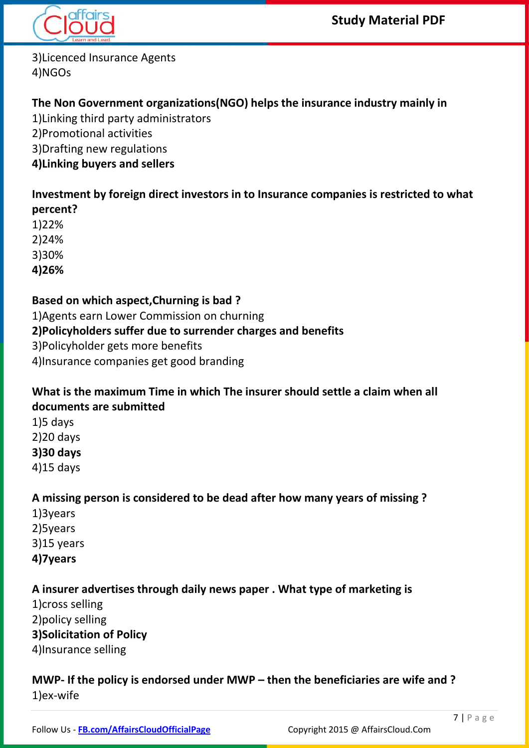

3)Licenced Insurance Agents 4)NGOs

## **The Non Government organizations(NGO) helps the insurance industry mainly in**

1)Linking third party administrators 2)Promotional activities 3)Drafting new regulations **4)Linking buyers and sellers**

**Investment by foreign direct investors in to Insurance companies is restricted to what percent?**

1)22%

2)24%

3)30%

**4)26%**

#### **Based on which aspect,Churning is bad ?**

1)Agents earn Lower Commission on churning

#### **2)Policyholders suffer due to surrender charges and benefits**

3)Policyholder gets more benefits

4)Insurance companies get good branding

#### **What is the maximum Time in which The insurer should settle a claim when all documents are submitted**

 $1$ )5 days 2)20 days **3)30 days** 4)15 days

#### **A missing person is considered to be dead after how many years of missing ?**

1)3years 2)5years 3)15 years **4)7years**

# **A insurer advertises through daily news paper . What type of marketing is**

1)cross selling

2)policy selling

#### **3)Solicitation of Policy**

4)Insurance selling

#### **MWP- If the policy is endorsed under MWP – then the beneficiaries are wife and ?** 1)ex-wife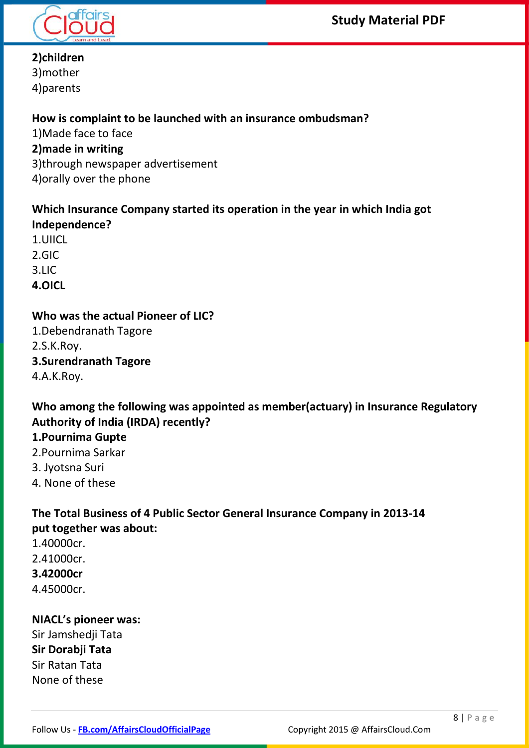



# **2)children**

3)mother 4)parents

#### **How is complaint to be launched with an insurance ombudsman?**

1)Made face to face **2)made in writing** 3)through newspaper advertisement 4)orally over the phone

#### **Which Insurance Company started its operation in the year in which India got Independence?**

1.UIICL 2.GIC 3.LIC **4.OICL**

## **Who was the actual Pioneer of LIC?**

1.Debendranath Tagore 2.S.K.Roy. **3.Surendranath Tagore** 4.A.K.Roy.

## **Who among the following was appointed as member(actuary) in Insurance Regulatory Authority of India (IRDA) recently?**

# **1.Pournima Gupte**

- 2.Pournima Sarkar
- 3. Jyotsna Suri
- 4. None of these

# **The Total Business of 4 Public Sector General Insurance Company in 2013-14 put together was about:**

1.40000cr. 2.41000cr. **3.42000cr** 4.45000cr.

#### **NIACL's pioneer was:** Sir Jamshedji Tata **Sir Dorabji Tata** Sir Ratan Tata None of these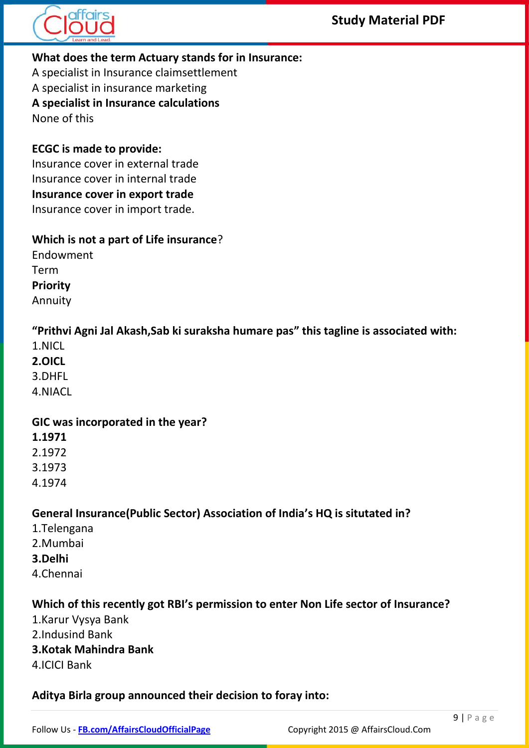



#### **What does the term Actuary stands for in Insurance:**

A specialist in Insurance claimsettlement

A specialist in insurance marketing **A specialist in Insurance calculations**

None of this

# **ECGC is made to provide:**

Insurance cover in external trade Insurance cover in internal trade **Insurance cover in export trade** Insurance cover in import trade.

#### **Which is not a part of Life insurance**?

Endowment Term **Priority** Annuity

**"Prithvi Agni Jal Akash,Sab ki suraksha humare pas" this tagline is associated with:**

- 1.NICL
- **2.OICL**

3.DHFL

4.NIACL

#### **GIC was incorporated in the year?**

- **1.1971**
- 2.1972
- 3.1973
- 4.1974

#### **General Insurance(Public Sector) Association of India's HQ is situtated in?**

- 1.Telengana
- 2.Mumbai
- **3.Delhi**
- 4.Chennai

#### **Which of this recently got RBI's permission to enter Non Life sector of Insurance?**

- 1.Karur Vysya Bank
- 2.Indusind Bank
- **3.Kotak Mahindra Bank**
- 4.ICICI Bank

#### **Aditya Birla group announced their decision to foray into:**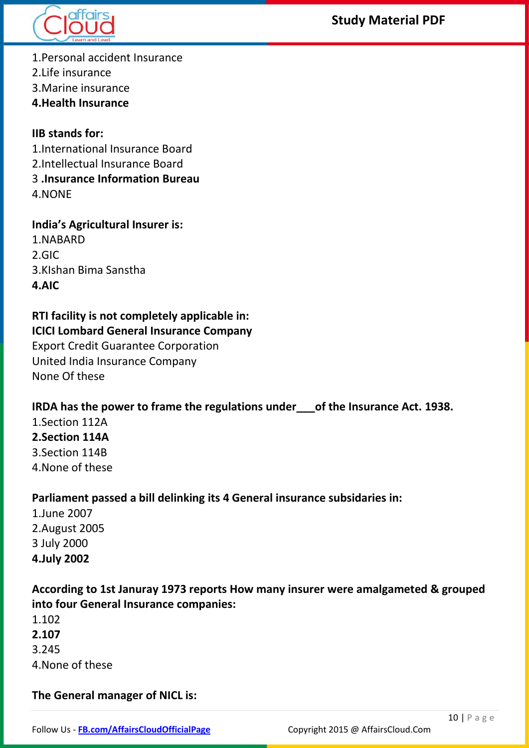

## **Study Material PDF**

1.Personal accident Insurance

2.Life insurance

3.Marine insurance

**4.Health Insurance**

**IIB stands for:** 1.International Insurance Board 2.Intellectual Insurance Board 3 **.Insurance Information Bureau** 4.NONE

**India's Agricultural Insurer is:** 1.NABARD 2.GIC 3.KIshan Bima Sanstha **4.AIC**

#### **RTI facility is not completely applicable in: ICICI Lombard General Insurance Company**

Export Credit Guarantee Corporation United India Insurance Company None Of these

#### **IRDA has the power to frame the regulations under\_\_\_of the Insurance Act. 1938.**

1.Section 112A **2.Section 114A** 3.Section 114B 4.None of these

#### **Parliament passed a bill delinking its 4 General insurance subsidaries in:**

1.June 2007 2.August 2005 3 July 2000 **4.July 2002**

#### **According to 1st Januray 1973 reports How many insurer were amalgameted & grouped into four General Insurance companies:**

- 1.102
- **2.107**
- 3.245
- 4.None of these

**The General manager of NICL is:**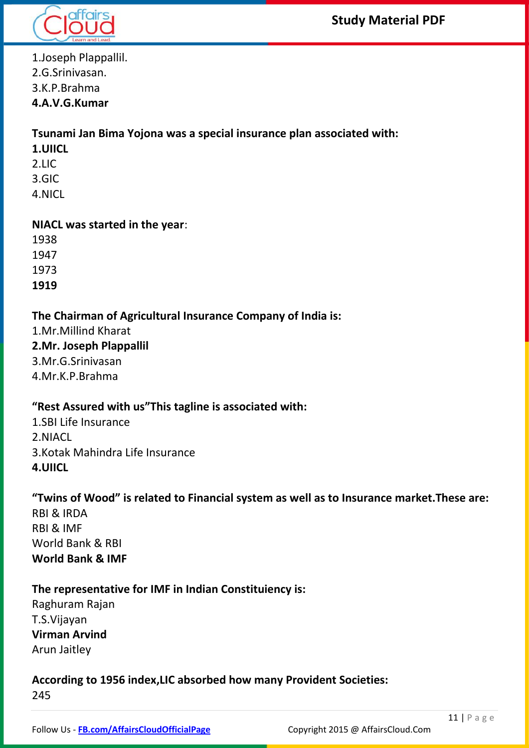

1.Joseph Plappallil. 2.G.Srinivasan. 3.K.P.Brahma **4.A.V.G.Kumar**

#### **Tsunami Jan Bima Yojona was a special insurance plan associated with:**

- **1.UIICL**
- 2.LIC
- 3.GIC
- 4.NICL

#### **NIACL was started in the year**:

1938 1947 1973

**1919**

#### **The Chairman of Agricultural Insurance Company of India is:**

1.Mr.Millind Kharat

# **2.Mr. Joseph Plappallil**

3.Mr.G.Srinivasan

4.Mr.K.P.Brahma

#### **"Rest Assured with us"This tagline is associated with:**

1.SBI Life Insurance 2.NIACL 3.Kotak Mahindra Life Insurance **4.UIICL**

#### **"Twins of Wood" is related to Financial system as well as to Insurance market.These are:**

RBI & IRDA RBI & IMF World Bank & RBI **World Bank & IMF**

#### **The representative for IMF in Indian Constituiency is:**

Raghuram Rajan T.S.Vijayan **Virman Arvind** Arun Jaitley

#### **According to 1956 index,LIC absorbed how many Provident Societies:** 245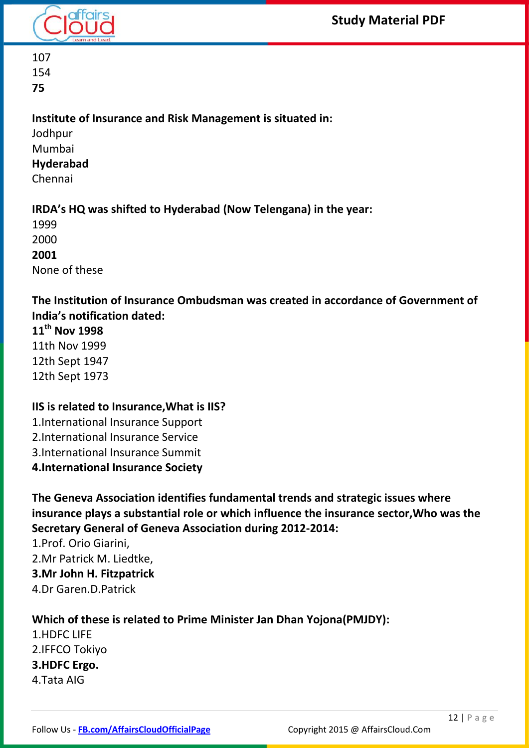

107 154 **75**

#### **Institute of Insurance and Risk Management is situated in:**

Jodhpur Mumbai **Hyderabad** Chennai

## **IRDA's HQ was shifted to Hyderabad (Now Telengana) in the year:**

1999 2000 **2001** None of these

# **The Institution of Insurance Ombudsman was created in accordance of Government of India's notification dated:**

**11th Nov 1998** 11th Nov 1999 12th Sept 1947 12th Sept 1973

# **IIS is related to Insurance,What is IIS?**

1.International Insurance Support 2.International Insurance Service 3.International Insurance Summit **4.International Insurance Society**

**The Geneva Association identifies fundamental trends and strategic issues where insurance plays a substantial role or which influence the insurance sector,Who was the Secretary General of Geneva Association during 2012-2014:**

1.Prof. Orio Giarini, 2.Mr Patrick M. Liedtke, **3.Mr John H. Fitzpatrick** 4.Dr Garen.D.Patrick

# **Which of these is related to Prime Minister Jan Dhan Yojona(PMJDY):**

1.HDFC LIFE 2.IFFCO Tokiyo **3.HDFC Ergo.** 4.Tata AIG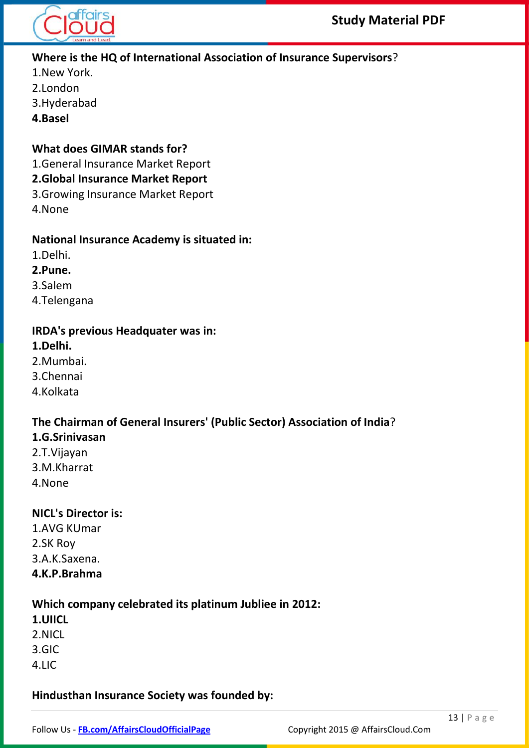

#### **Where is the HQ of International Association of Insurance Supervisors**?

- 1.New York.
- 2.London
- 3.Hyderabad
- **4.Basel**

#### **What does GIMAR stands for?**

1.General Insurance Market Report

#### **2.Global Insurance Market Report**

- 3.Growing Insurance Market Report
- 4.None

#### **National Insurance Academy is situated in:**

- 1.Delhi.
- **2.Pune.**
- 3.Salem
- 4.Telengana

#### **IRDA's previous Headquater was in:**

- **1.Delhi.**
- 2.Mumbai.
- 3.Chennai
- 4.Kolkata

# **The Chairman of General Insurers' (Public Sector) Association of India**?

- **1.G.Srinivasan**
- 2.T.Vijayan 3.M.Kharrat 4.None

#### **NICL's Director is:**

1.AVG KUmar 2.SK Roy 3.A.K.Saxena. **4.K.P.Brahma**

#### **Which company celebrated its platinum Jubliee in 2012:**

- **1.UIICL**
- 2.NICL
- 3.GIC
- 4.LIC

#### **Hindusthan Insurance Society was founded by:**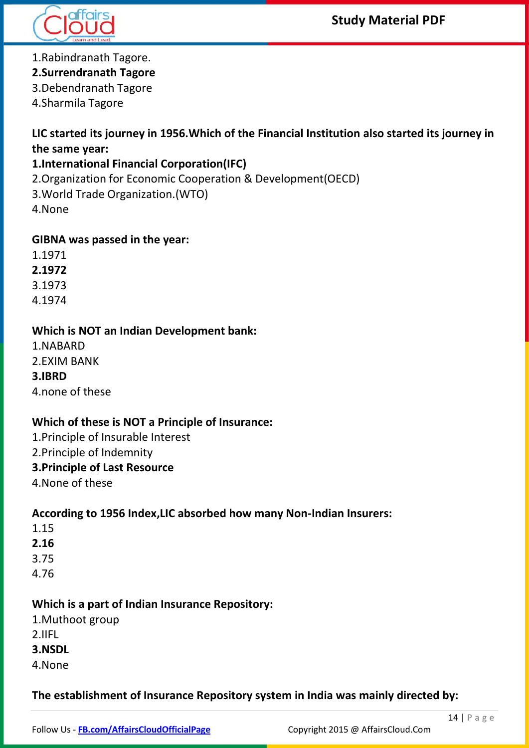



#### 1.Rabindranath Tagore.

#### **2.Surrendranath Tagore**

3.Debendranath Tagore

4.Sharmila Tagore

### **LIC started its journey in 1956.Which of the Financial Institution also started its journey in the same year:**

#### **1.International Financial Corporation(IFC)**

2.Organization for Economic Cooperation & Development(OECD)

3.World Trade Organization.(WTO)

4.None

#### **GIBNA was passed in the year:**

1.1971

**2.1972**

3.1973

4.1974

#### **Which is NOT an Indian Development bank:**

1.NABARD

2.EXIM BANK

#### **3.IBRD**

4.none of these

#### **Which of these is NOT a Principle of Insurance:**

1.Principle of Insurable Interest

2.Principle of Indemnity

#### **3.Principle of Last Resource**

4.None of these

#### **According to 1956 Index,LIC absorbed how many Non-Indian Insurers:**

- 1.15
- **2.16**

3.75

4.76

#### **Which is a part of Indian Insurance Repository:**

- 1.Muthoot group
- 2.IIFL
- **3.NSDL**
- 4.None

#### **The establishment of Insurance Repository system in India was mainly directed by:**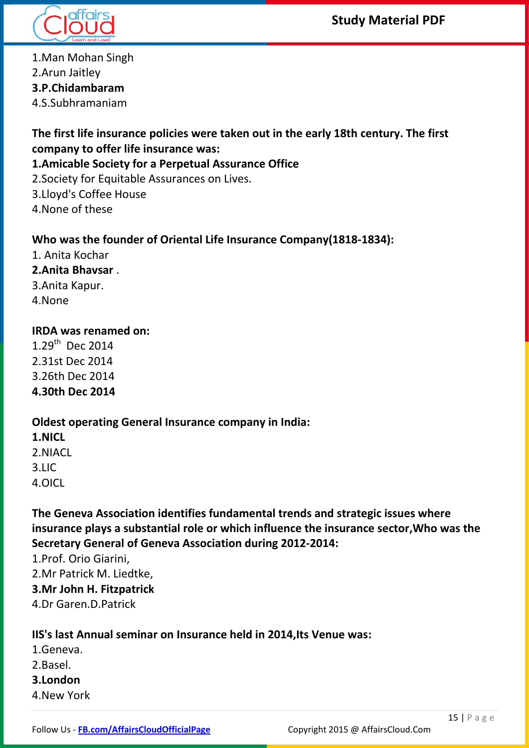**Study Material PDF**



1.Man Mohan Singh 2.Arun Jaitley **3.P.Chidambaram** 4.S.Subhramaniam

**The first life insurance policies were taken out in the early 18th century. The first company to offer life insurance was:**

#### **1.Amicable Society for a Perpetual Assurance Office**

2.Society for Equitable Assurances on Lives.

3.Lloyd's Coffee House

4.None of these

#### **Who was the founder of Oriental Life Insurance Company(1818-1834):**

1. Anita Kochar **2.Anita Bhavsar** . 3.Anita Kapur. 4.None

#### **IRDA was renamed on:**

1.29<sup>th</sup> Dec 2014 2.31st Dec 2014 3.26th Dec 2014 **4.30th Dec 2014**

**Oldest operating General Insurance company in India: 1.NICL** 2.NIACL 3.LIC

4.OICL

**The Geneva Association identifies fundamental trends and strategic issues where insurance plays a substantial role or which influence the insurance sector,Who was the Secretary General of Geneva Association during 2012-2014:**

1.Prof. Orio Giarini, 2.Mr Patrick M. Liedtke, **3.Mr John H. Fitzpatrick** 4.Dr Garen.D.Patrick

#### **IIS's last Annual seminar on Insurance held in 2014,Its Venue was:**

- 1.Geneva. 2.Basel.
- **3.London**
- 4.New York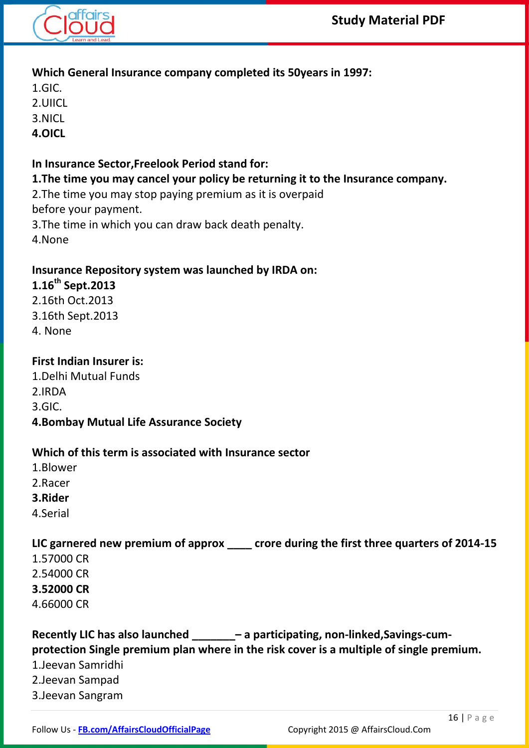

#### **Which General Insurance company completed its 50years in 1997:**

- 1.GIC.
- 2.UIICL
- 3.NICL
- **4.OICL**

#### **In Insurance Sector,Freelook Period stand for:**

#### **1.The time you may cancel your policy be returning it to the Insurance company.**

2.The time you may stop paying premium as it is overpaid before your payment.

- 3.The time in which you can draw back death penalty.
- 4.None

# **Insurance Repository system was launched by IRDA on:**

# **1.16th Sept.2013**

- 2.16th Oct.2013
- 3.16th Sept.2013
- 4. None

## **First Indian Insurer is:**

- 1.Delhi Mutual Funds
- 2.IRDA
- 3.GIC.
- **4.Bombay Mutual Life Assurance Society**

#### **Which of this term is associated with Insurance sector**

- 1.Blower
- 2.Racer
- **3.Rider**
- 4.Serial

# **LIC garnered new premium of approx \_\_\_\_ crore during the first three quarters of 2014-15**

- 1.57000 CR
- 2.54000 CR
- **3.52000 CR**
- 4.66000 CR

#### **Recently LIC has also launched \_\_\_\_\_\_\_– a participating, non-linked,Savings-cumprotection Single premium plan where in the risk cover is a multiple of single premium.** 1.Jeevan Samridhi 2.Jeevan Sampad 3.Jeevan Sangram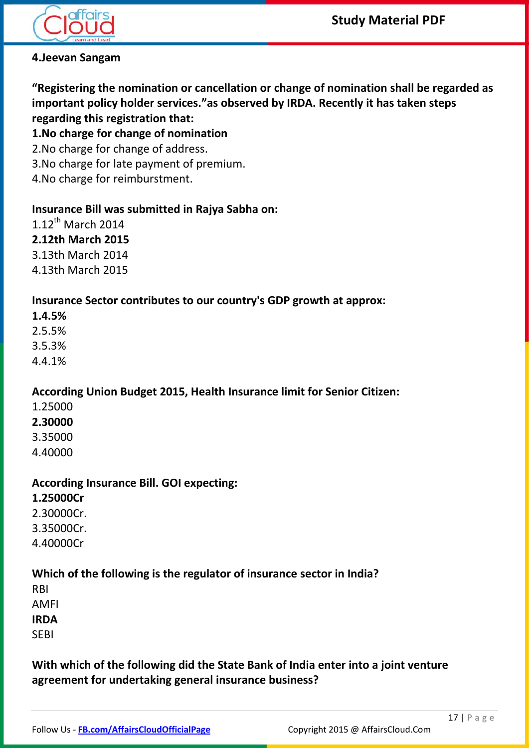

#### **4.Jeevan Sangam**

**"Registering the nomination or cancellation or change of nomination shall be regarded as important policy holder services."as observed by IRDA. Recently it has taken steps regarding this registration that:**

#### **1.No charge for change of nomination**

2.No charge for change of address.

3.No charge for late payment of premium.

4.No charge for reimburstment.

#### **Insurance Bill was submitted in Rajya Sabha on:**

 $1.12$ <sup>th</sup> March 2014

#### **2.12th March 2015**

3.13th March 2014

4.13th March 2015

#### **Insurance Sector contributes to our country's GDP growth at approx:**

**1.4.5%**

2.5.5%

3.5.3%

4.4.1%

#### **According Union Budget 2015, Health Insurance limit for Senior Citizen:**

- 1.25000
- **2.30000**
- 3.35000
- 4.40000

#### **According Insurance Bill. GOI expecting:**

#### **1.25000Cr**

2.30000Cr.

3.35000Cr.

4.40000Cr

#### **Which of the following is the regulator of insurance sector in India?**

RBI

AMFI

**IRDA**

SEBI

#### **With which of the following did the State Bank of India enter into a joint venture agreement for undertaking general insurance business?**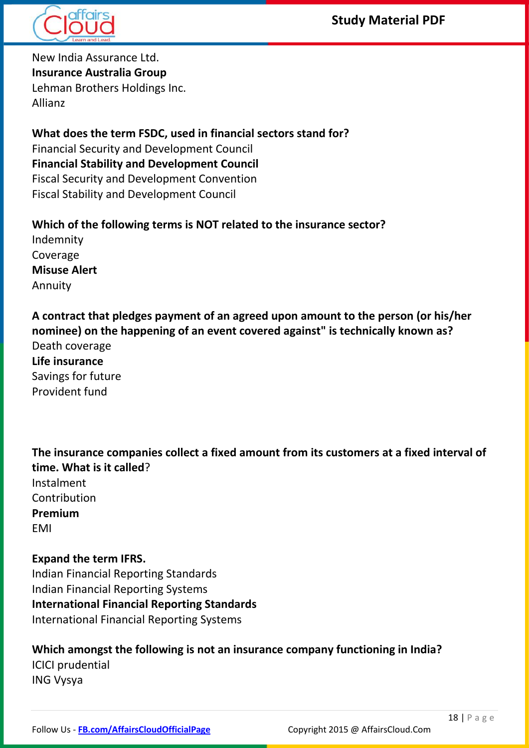



New India Assurance Ltd. **Insurance Australia Group** Lehman Brothers Holdings Inc. Allianz

**What does the term FSDC, used in financial sectors stand for?** Financial Security and Development Council **Financial Stability and Development Council** Fiscal Security and Development Convention Fiscal Stability and Development Council

**Which of the following terms is NOT related to the insurance sector?** Indemnity Coverage **Misuse Alert** Annuity

**A contract that pledges payment of an agreed upon amount to the person (or his/her nominee) on the happening of an event covered against" is technically known as?** Death coverage **Life insurance** Savings for future Provident fund

**The insurance companies collect a fixed amount from its customers at a fixed interval of time. What is it called**? Instalment Contribution **Premium** EMI

#### **Expand the term IFRS.** Indian Financial Reporting Standards Indian Financial Reporting Systems **International Financial Reporting Standards** International Financial Reporting Systems

### **Which amongst the following is not an insurance company functioning in India?** ICICI prudential ING Vysya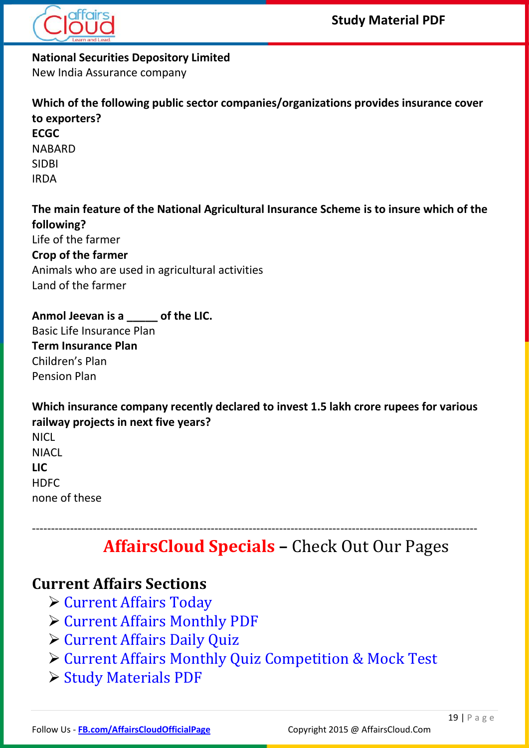

**National Securities Depository Limited**

New India Assurance company

**Which of the following public sector companies/organizations provides insurance cover to exporters? ECGC** NABARD SIDBI IRDA **The main feature of the National Agricultural Insurance Scheme is to insure which of the following?** Life of the farmer

**Crop of the farmer** Animals who are used in agricultural activities

Land of the farmer

**Anmol Jeevan is a \_\_\_\_\_ of the LIC.** Basic Life Insurance Plan **Term Insurance Plan** Children's Plan Pension Plan

**Which insurance company recently declared to invest 1.5 lakh crore rupees for various railway projects in next five years?** NICL **NIACL LIC HDFC** none of these

# ---------------------------------------------------------------------------------------------------------------------  **AffairsCloud Specials –** Check Out Our Pages

# **Current Affairs Sections**

- [Current Affairs Today](http://www.affairscloud.com/current-affairs/current-affairs-today/)
- [Current Affairs Monthly PDF](http://www.affairscloud.com/current-affairs-pdf-capsule/)
- [Current Affairs Daily Quiz](http://www.affairscloud.com/current-affairs-quiz-current-affairs/)
- [Current Affairs Monthly Quiz Competition & Mock Test](http://www.affairscloud.com/quiz-competition/)
- [Study Materials PDF](http://www.affairscloud.com/study-material-pdf-download/)